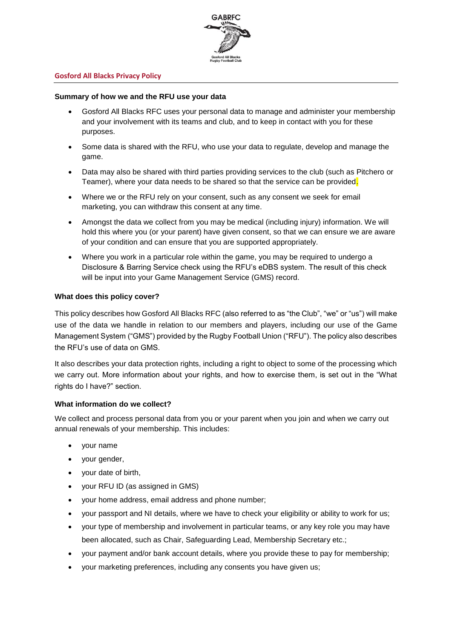

## **Gosford All Blacks Privacy Policy**

## **Summary of how we and the RFU use your data**

- Gosford All Blacks RFC uses your personal data to manage and administer your membership and your involvement with its teams and club, and to keep in contact with you for these purposes.
- Some data is shared with the RFU, who use your data to regulate, develop and manage the game.
- Data may also be shared with third parties providing services to the club (such as Pitchero or Teamer), where your data needs to be shared so that the service can be provided.
- Where we or the RFU rely on your consent, such as any consent we seek for email marketing, you can withdraw this consent at any time.
- Amongst the data we collect from you may be medical (including injury) information. We will hold this where you (or your parent) have given consent, so that we can ensure we are aware of your condition and can ensure that you are supported appropriately.
- Where you work in a particular role within the game, you may be required to undergo a Disclosure & Barring Service check using the RFU's eDBS system. The result of this check will be input into your Game Management Service (GMS) record.

## **What does this policy cover?**

This policy describes how Gosford All Blacks RFC (also referred to as "the Club", "we" or "us") will make use of the data we handle in relation to our members and players, including our use of the Game Management System ("GMS") provided by the Rugby Football Union ("RFU"). The policy also describes the RFU's use of data on GMS.

It also describes your data protection rights, including a right to object to some of the processing which we carry out. More information about your rights, and how to exercise them, is set out in the "What rights do I have?" section.

#### **What information do we collect?**

We collect and process personal data from you or your parent when you join and when we carry out annual renewals of your membership. This includes:

- your name
- your gender,
- your date of birth,
- your RFU ID (as assigned in GMS)
- your home address, email address and phone number;
- your passport and NI details, where we have to check your eligibility or ability to work for us;
- your type of membership and involvement in particular teams, or any key role you may have been allocated, such as Chair, Safeguarding Lead, Membership Secretary etc.;
- your payment and/or bank account details, where you provide these to pay for membership;
- your marketing preferences, including any consents you have given us;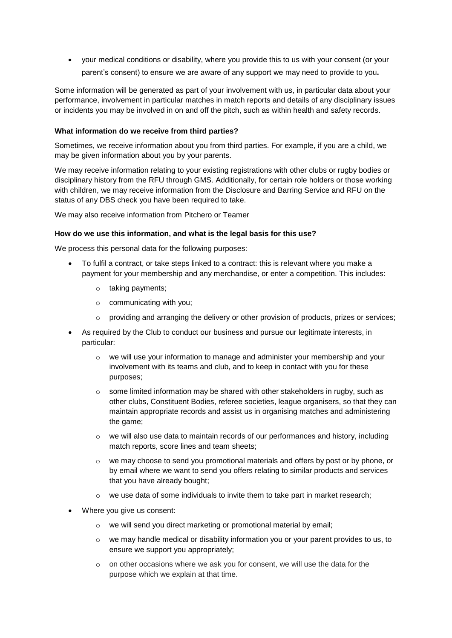• your medical conditions or disability, where you provide this to us with your consent (or your parent's consent) to ensure we are aware of any support we may need to provide to you**.**

Some information will be generated as part of your involvement with us, in particular data about your performance, involvement in particular matches in match reports and details of any disciplinary issues or incidents you may be involved in on and off the pitch, such as within health and safety records.

# **What information do we receive from third parties?**

Sometimes, we receive information about you from third parties. For example, if you are a child, we may be given information about you by your parents.

We may receive information relating to your existing registrations with other clubs or rugby bodies or disciplinary history from the RFU through GMS. Additionally, for certain role holders or those working with children, we may receive information from the Disclosure and Barring Service and RFU on the status of any DBS check you have been required to take.

We may also receive information from Pitchero or Teamer

# **How do we use this information, and what is the legal basis for this use?**

We process this personal data for the following purposes:

- To fulfil a contract, or take steps linked to a contract: this is relevant where you make a payment for your membership and any merchandise, or enter a competition. This includes:
	- o taking payments;
	- o communicating with you;
	- $\circ$  providing and arranging the delivery or other provision of products, prizes or services;
- As required by the Club to conduct our business and pursue our legitimate interests, in particular:
	- $\circ$  we will use your information to manage and administer your membership and your involvement with its teams and club, and to keep in contact with you for these purposes;
	- $\circ$  some limited information may be shared with other stakeholders in rugby, such as other clubs, Constituent Bodies, referee societies, league organisers, so that they can maintain appropriate records and assist us in organising matches and administering the game;
	- $\circ$  we will also use data to maintain records of our performances and history, including match reports, score lines and team sheets;
	- $\circ$  we may choose to send you promotional materials and offers by post or by phone, or by email where we want to send you offers relating to similar products and services that you have already bought;
	- $\circ$  we use data of some individuals to invite them to take part in market research;
- Where you give us consent:
	- o we will send you direct marketing or promotional material by email;
	- $\circ$  we may handle medical or disability information you or your parent provides to us, to ensure we support you appropriately;
	- o on other occasions where we ask you for consent, we will use the data for the purpose which we explain at that time.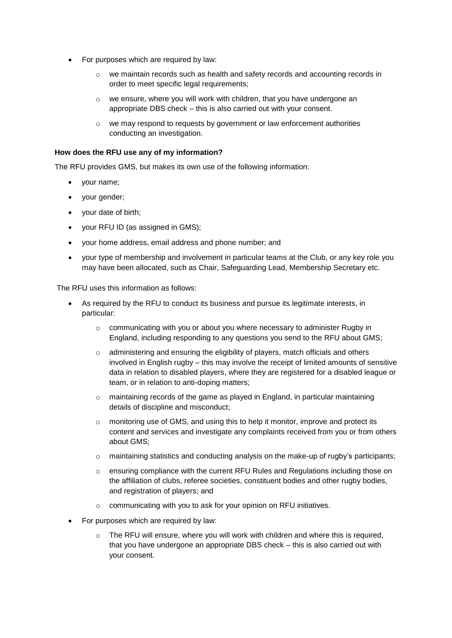- For purposes which are required by law:
	- $\circ$  we maintain records such as health and safety records and accounting records in order to meet specific legal requirements;
	- o we ensure, where you will work with children, that you have undergone an appropriate DBS check – this is also carried out with your consent.
	- o we may respond to requests by government or law enforcement authorities conducting an investigation.

#### **How does the RFU use any of my information?**

The RFU provides GMS, but makes its own use of the following information:

- your name;
- your gender;
- your date of birth;
- your RFU ID (as assigned in GMS);
- your home address, email address and phone number; and
- your type of membership and involvement in particular teams at the Club, or any key role you may have been allocated, such as Chair, Safeguarding Lead, Membership Secretary etc.

The RFU uses this information as follows:

- As required by the RFU to conduct its business and pursue its legitimate interests, in particular:
	- $\circ$  communicating with you or about you where necessary to administer Rugby in England, including responding to any questions you send to the RFU about GMS;
	- o administering and ensuring the eligibility of players, match officials and others involved in English rugby – this may involve the receipt of limited amounts of sensitive data in relation to disabled players, where they are registered for a disabled league or team, or in relation to anti-doping matters;
	- $\circ$  maintaining records of the game as played in England, in particular maintaining details of discipline and misconduct;
	- o monitoring use of GMS, and using this to help it monitor, improve and protect its content and services and investigate any complaints received from you or from others about GMS;
	- $\circ$  maintaining statistics and conducting analysis on the make-up of rugby's participants;
	- o ensuring compliance with the current RFU Rules and Regulations including those on the affiliation of clubs, referee societies, constituent bodies and other rugby bodies, and registration of players; and
	- o communicating with you to ask for your opinion on RFU initiatives.
- For purposes which are required by law:
	- The RFU will ensure, where you will work with children and where this is required, that you have undergone an appropriate DBS check – this is also carried out with your consent.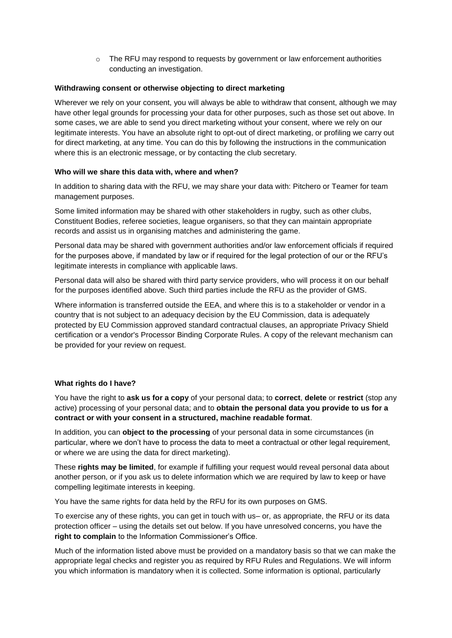$\circ$  The RFU may respond to requests by government or law enforcement authorities conducting an investigation.

## **Withdrawing consent or otherwise objecting to direct marketing**

Wherever we rely on your consent, you will always be able to withdraw that consent, although we may have other legal grounds for processing your data for other purposes, such as those set out above. In some cases, we are able to send you direct marketing without your consent, where we rely on our legitimate interests. You have an absolute right to opt-out of direct marketing, or profiling we carry out for direct marketing, at any time. You can do this by following the instructions in the communication where this is an electronic message, or by contacting the club secretary.

## **Who will we share this data with, where and when?**

In addition to sharing data with the RFU, we may share your data with: Pitchero or Teamer for team management purposes.

Some limited information may be shared with other stakeholders in rugby, such as other clubs, Constituent Bodies, referee societies, league organisers, so that they can maintain appropriate records and assist us in organising matches and administering the game.

Personal data may be shared with government authorities and/or law enforcement officials if required for the purposes above, if mandated by law or if required for the legal protection of our or the RFU's legitimate interests in compliance with applicable laws.

Personal data will also be shared with third party service providers, who will process it on our behalf for the purposes identified above. Such third parties include the RFU as the provider of GMS.

Where information is transferred outside the EEA, and where this is to a stakeholder or vendor in a country that is not subject to an adequacy decision by the EU Commission, data is adequately protected by EU Commission approved standard contractual clauses, an appropriate Privacy Shield certification or a vendor's Processor Binding Corporate Rules. A copy of the relevant mechanism can be provided for your review on request.

# **What rights do I have?**

You have the right to **ask us for a copy** of your personal data; to **correct**, **delete** or **restrict** (stop any active) processing of your personal data; and to **obtain the personal data you provide to us for a contract or with your consent in a structured, machine readable format**.

In addition, you can **object to the processing** of your personal data in some circumstances (in particular, where we don't have to process the data to meet a contractual or other legal requirement, or where we are using the data for direct marketing).

These **rights may be limited**, for example if fulfilling your request would reveal personal data about another person, or if you ask us to delete information which we are required by law to keep or have compelling legitimate interests in keeping.

You have the same rights for data held by the RFU for its own purposes on GMS.

To exercise any of these rights, you can get in touch with us– or, as appropriate, the RFU or its data protection officer – using the details set out below. If you have unresolved concerns, you have the **right to complain** to the Information Commissioner's Office.

Much of the information listed above must be provided on a mandatory basis so that we can make the appropriate legal checks and register you as required by RFU Rules and Regulations. We will inform you which information is mandatory when it is collected. Some information is optional, particularly